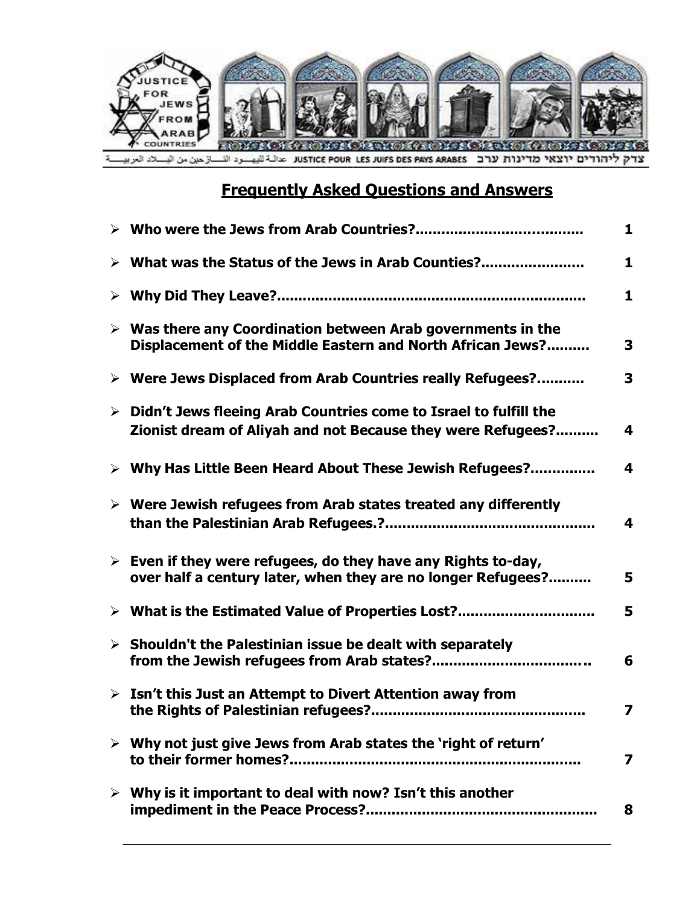

# **Frequently Asked Questions and Answers**

|                                                                                                                                                  | 1 |
|--------------------------------------------------------------------------------------------------------------------------------------------------|---|
| $\triangleright$ What was the Status of the Jews in Arab Counties?                                                                               | 1 |
|                                                                                                                                                  | 1 |
| $\triangleright$ Was there any Coordination between Arab governments in the<br>Displacement of the Middle Eastern and North African Jews?        | 3 |
| > Were Jews Displaced from Arab Countries really Refugees?                                                                                       | 3 |
| $\triangleright$ Didn't Jews fleeing Arab Countries come to Israel to fulfill the<br>Zionist dream of Aliyah and not Because they were Refugees? | 4 |
| > Why Has Little Been Heard About These Jewish Refugees?                                                                                         | 4 |
| $\triangleright$ Were Jewish refugees from Arab states treated any differently                                                                   | 4 |
| $\triangleright$ Even if they were refugees, do they have any Rights to-day,<br>over half a century later, when they are no longer Refugees?     | 5 |
| > What is the Estimated Value of Properties Lost?                                                                                                | 5 |
| $\triangleright$ Shouldn't the Palestinian issue be dealt with separately                                                                        | 6 |
| $\triangleright$ Isn't this Just an Attempt to Divert Attention away from                                                                        | 7 |
| $\triangleright$ Why not just give Jews from Arab states the 'right of return'                                                                   | 7 |
| $\triangleright$ Why is it important to deal with now? Isn't this another                                                                        | 8 |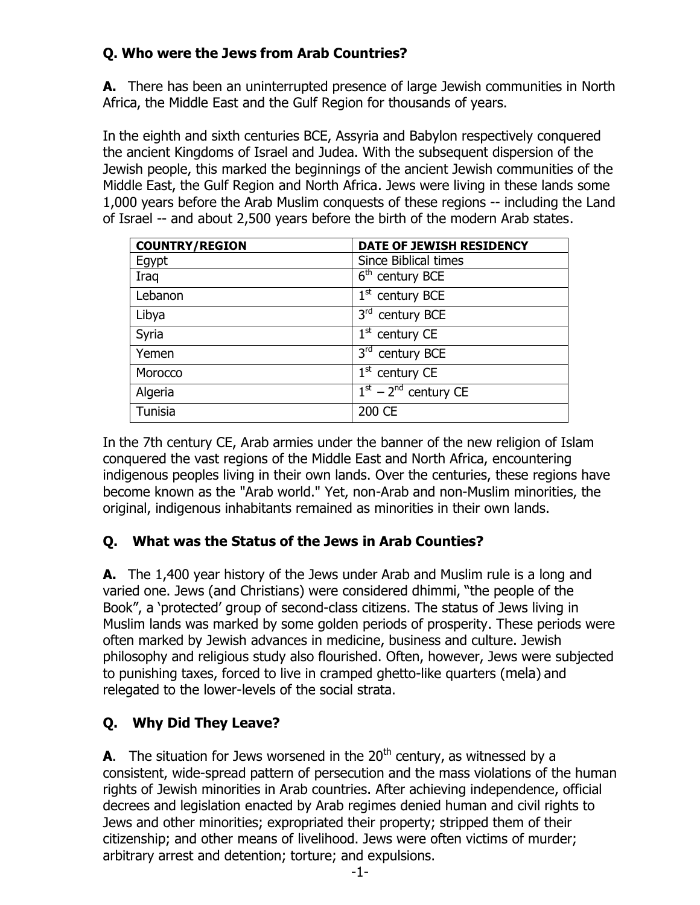# **Q. Who were the Jews from Arab Countries?**

**A.** There has been an uninterrupted presence of large Jewish communities in North Africa, the Middle East and the Gulf Region for thousands of years.

In the eighth and sixth centuries BCE, Assyria and Babylon respectively conquered the ancient Kingdoms of Israel and Judea. With the subsequent dispersion of the Jewish people, this marked the beginnings of the ancient Jewish communities of the Middle East, the Gulf Region and North Africa. Jews were living in these lands some 1,000 years before the Arab Muslim conquests of these regions -- including the Land of Israel -- and about 2,500 years before the birth of the modern Arab states.

| <b>COUNTRY/REGION</b> | DATE OF JEWISH RESIDENCY    |  |  |  |
|-----------------------|-----------------------------|--|--|--|
| Egypt                 | <b>Since Biblical times</b> |  |  |  |
| Iraq                  | $6th$ century BCE           |  |  |  |
| Lebanon               | $1st$ century BCE           |  |  |  |
| Libya                 | 3rd century BCE             |  |  |  |
| Syria                 | $1st$ century CE            |  |  |  |
| Yemen                 | 3rd century BCE             |  |  |  |
| Morocco               | $1st$ century CE            |  |  |  |
| Algeria               | $1st - 2nd$ century CE      |  |  |  |
| Tunisia               | 200 CE                      |  |  |  |

In the 7th century CE, Arab armies under the banner of the new religion of Islam conquered the vast regions of the Middle East and North Africa, encountering indigenous peoples living in their own lands. Over the centuries, these regions have become known as the "Arab world." Yet, non-Arab and non-Muslim minorities, the original, indigenous inhabitants remained as minorities in their own lands.

# **Q. What was the Status of the Jews in Arab Counties?**

**A.** The 1,400 year history of the Jews under Arab and Muslim rule is a long and varied one. Jews (and Christians) were considered dhimmi, "the people of the Book", a 'protected' group of second-class citizens. The status of Jews living in Muslim lands was marked by some golden periods of prosperity. These periods were often marked by Jewish advances in medicine, business and culture. Jewish philosophy and religious study also flourished. Often, however, Jews were subjected to punishing taxes, forced to live in cramped ghetto-like quarters (mela) and relegated to the lower-levels of the social strata.

# **Q. Why Did They Leave?**

**A**. The situation for Jews worsened in the  $20<sup>th</sup>$  century, as witnessed by a consistent, wide-spread pattern of persecution and the mass violations of the human rights of Jewish minorities in Arab countries. After achieving independence, official decrees and legislation enacted by Arab regimes denied human and civil rights to Jews and other minorities; expropriated their property; stripped them of their citizenship; and other means of livelihood. Jews were often victims of murder; arbitrary arrest and detention; torture; and expulsions.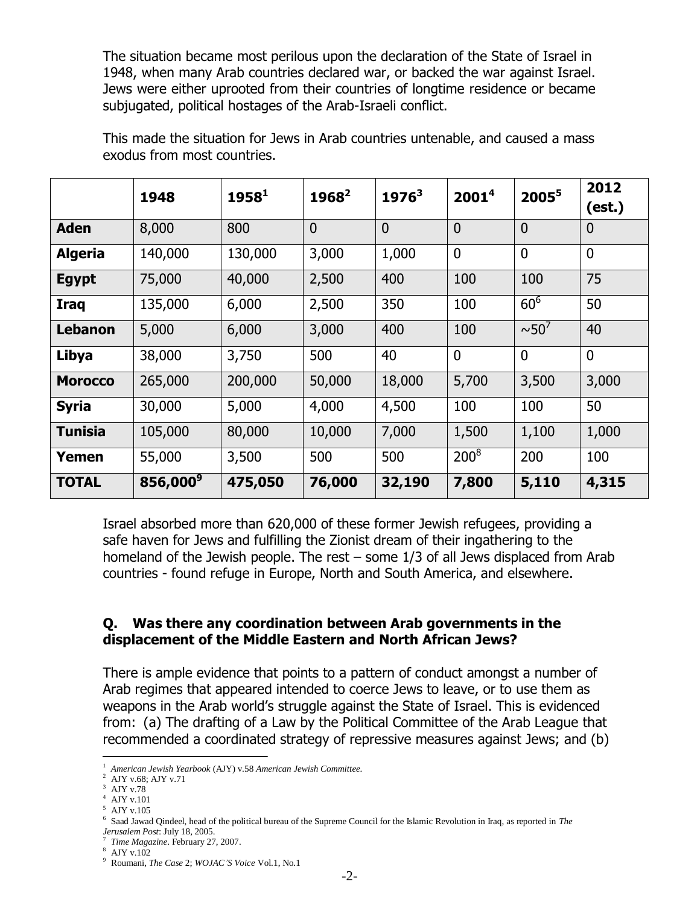The situation became most perilous upon the declaration of the State of Israel in 1948, when many Arab countries declared war, or backed the war against Israel. Jews were either uprooted from their countries of longtime residence or became subjugated, political hostages of the Arab-Israeli conflict.

|                | 1948                 | $1958^1$ | $1968^2$       | $1976^3$       | 2001 <sup>4</sup> | $2005^5$               | 2012<br>(est.) |
|----------------|----------------------|----------|----------------|----------------|-------------------|------------------------|----------------|
| <b>Aden</b>    | 8,000                | 800      | $\overline{0}$ | $\overline{0}$ | $\overline{0}$    | $\overline{0}$         | $\overline{0}$ |
| <b>Algeria</b> | 140,000              | 130,000  | 3,000          | 1,000          | $\overline{0}$    | $\overline{0}$         | $\overline{0}$ |
| <b>Egypt</b>   | 75,000               | 40,000   | 2,500          | 400            | 100               | 100                    | 75             |
| <b>Iraq</b>    | 135,000              | 6,000    | 2,500          | 350            | 100               | 60 <sup>6</sup>        | 50             |
| Lebanon        | 5,000                | 6,000    | 3,000          | 400            | 100               | $\sim$ 50 <sup>7</sup> | 40             |
| Libya          | 38,000               | 3,750    | 500            | 40             | $\mathbf{0}$      | $\overline{0}$         | $\overline{0}$ |
| <b>Morocco</b> | 265,000              | 200,000  | 50,000         | 18,000         | 5,700             | 3,500                  | 3,000          |
| <b>Syria</b>   | 30,000               | 5,000    | 4,000          | 4,500          | 100               | 100                    | 50             |
| <b>Tunisia</b> | 105,000              | 80,000   | 10,000         | 7,000          | 1,500             | 1,100                  | 1,000          |
| Yemen          | 55,000               | 3,500    | 500            | 500            | $200^8$           | 200                    | 100            |
| <b>TOTAL</b>   | 856,000 <sup>9</sup> | 475,050  | 76,000         | 32,190         | 7,800             | 5,110                  | 4,315          |

This made the situation for Jews in Arab countries untenable, and caused a mass exodus from most countries.

Israel absorbed more than 620,000 of these former Jewish refugees, providing a safe haven for Jews and fulfilling the Zionist dream of their ingathering to the homeland of the Jewish people. The rest – some 1/3 of all Jews displaced from Arab countries - found refuge in Europe, North and South America, and elsewhere.

#### **Q. Was there any coordination between Arab governments in the displacement of the Middle Eastern and North African Jews?**

There is ample evidence that points to a pattern of conduct amongst a number of Arab regimes that appeared intended to coerce Jews to leave, or to use them as weapons in the Arab world's struggle against the State of Israel. This is evidenced from: (a) The drafting of a Law by the Political Committee of the Arab League that recommended a coordinated strategy of repressive measures against Jews; and (b)

<sup>1</sup>*American Jewish Yearbook* (AJY) v.58 *American Jewish Committee*.

<sup>2</sup>AJY v.68; AJY v.71

<sup>3</sup>AJY v.78

 $4$  AJY v.101

 $^{\rm 5}$  AJY v.105

 $6$  Saad Jawad Qindeel, head of the political bureau of the Supreme Council for the Islamic Revolution in Iraq, as reported in *The Jerusalem Post*: July 18, 2005.

<sup>7</sup>*Time Magazine*. February 27, 2007.

 $^8\,$  AJY v.102

<sup>9</sup>Roumani, *The Case* 2; *WOJAC'S Voice* Vol.1, No.1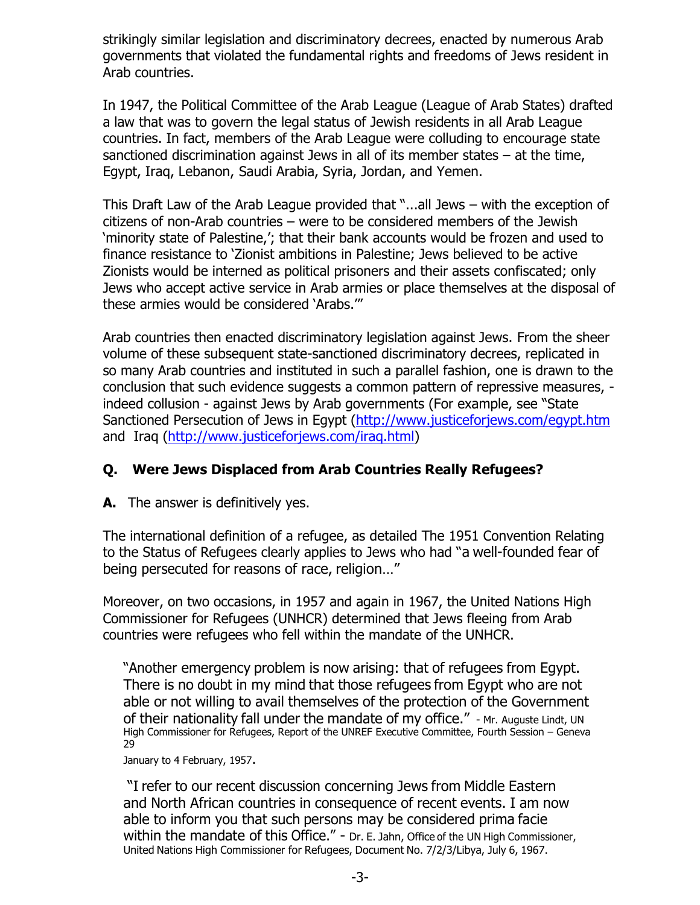strikingly similar legislation and discriminatory decrees, enacted by numerous Arab governments that violated the fundamental rights and freedoms of Jews resident in Arab countries.

In 1947, the Political Committee of the Arab League (League of Arab States) drafted a law that was to govern the legal status of Jewish residents in all Arab League countries. In fact, members of the Arab League were colluding to encourage state sanctioned discrimination against Jews in all of its member states – at the time, Egypt, Iraq, Lebanon, Saudi Arabia, Syria, Jordan, and Yemen.

This Draft Law of the Arab League provided that "...all Jews – with the exception of citizens of non-Arab countries – were to be considered members of the Jewish 'minority state of Palestine,'; that their bank accounts would be frozen and used to finance resistance to 'Zionist ambitions in Palestine; Jews believed to be active Zionists would be interned as political prisoners and their assets confiscated; only Jews who accept active service in Arab armies or place themselves at the disposal of these armies would be considered 'Arabs.'"

Arab countries then enacted discriminatory legislation against Jews. From the sheer volume of these subsequent state-sanctioned discriminatory decrees, replicated in so many Arab countries and instituted in such a parallel fashion, one is drawn to the conclusion that such evidence suggests a common pattern of repressive measures, indeed collusion - against Jews by Arab governments (For example, see "State Sanctioned Persecution of Jews in Egypt [\(http://www.justiceforjews.com/egypt.htm](http://www.justiceforjews.com/egypt.htm) and Iraq [\(http://www.justiceforjews.com/iraq.html\)](http://www.justiceforjews.com/iraq.html)

## **Q. Were Jews Displaced from Arab Countries Really Refugees?**

**A.** The answer is definitively yes.

The international definition of a refugee, as detailed The 1951 Convention Relating to the Status of Refugees clearly applies to Jews who had "a well-founded fear of being persecuted for reasons of race, religion…"

Moreover, on two occasions, in 1957 and again in 1967, the United Nations High Commissioner for Refugees (UNHCR) determined that Jews fleeing from Arab countries were refugees who fell within the mandate of the UNHCR.

"Another emergency problem is now arising: that of refugees from Egypt. There is no doubt in my mind that those refugees from Egypt who are not able or not willing to avail themselves of the protection of the Government of their nationality fall under the mandate of my office." - Mr. Auguste Lindt, UN High Commissioner for Refugees, Report of the UNREF Executive Committee, Fourth Session – Geneva 29

January to 4 February, 1957.

"I refer to our recent discussion concerning Jews from Middle Eastern and North African countries in consequence of recent events. I am now able to inform you that such persons may be considered prima facie within the mandate of this Office." - Dr. E. Jahn, Office of the UN High Commissioner, United Nations High Commissioner for Refugees, Document No. 7/2/3/Libya, July 6, 1967.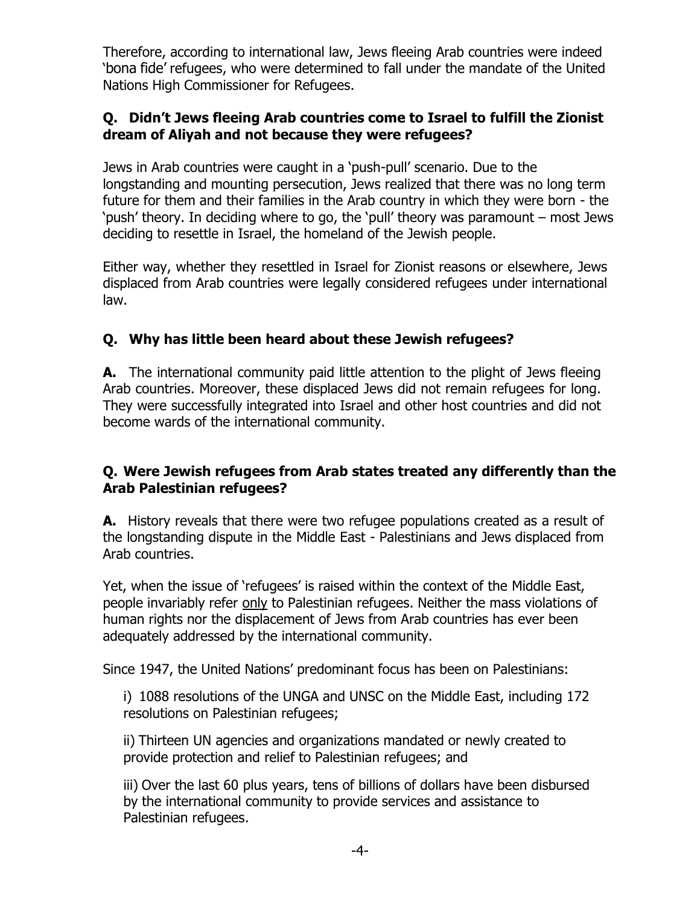Therefore, according to international law, Jews fleeing Arab countries were indeed 'bona fide' refugees, who were determined to fall under the mandate of the United Nations High Commissioner for Refugees.

## **Q. Didn't Jews fleeing Arab countries come to Israel to fulfill the Zionist dream of Aliyah and not because they were refugees?**

Jews in Arab countries were caught in a 'push-pull' scenario. Due to the longstanding and mounting persecution, Jews realized that there was no long term future for them and their families in the Arab country in which they were born - the 'push' theory. In deciding where to go, the 'pull' theory was paramount – most Jews deciding to resettle in Israel, the homeland of the Jewish people.

Either way, whether they resettled in Israel for Zionist reasons or elsewhere, Jews displaced from Arab countries were legally considered refugees under international law.

## **Q. Why has little been heard about these Jewish refugees?**

**A.** The international community paid little attention to the plight of Jews fleeing Arab countries. Moreover, these displaced Jews did not remain refugees for long. They were successfully integrated into Israel and other host countries and did not become wards of the international community.

#### **Q. Were Jewish refugees from Arab states treated any differently than the Arab Palestinian refugees?**

**A.** History reveals that there were two refugee populations created as a result of the longstanding dispute in the Middle East - Palestinians and Jews displaced from Arab countries.

Yet, when the issue of 'refugees' is raised within the context of the Middle East, people invariably refer only to Palestinian refugees. Neither the mass violations of human rights nor the displacement of Jews from Arab countries has ever been adequately addressed by the international community.

Since 1947, the United Nations' predominant focus has been on Palestinians:

i) 1088 resolutions of the UNGA and UNSC on the Middle East, including 172 resolutions on Palestinian refugees;

ii) Thirteen UN agencies and organizations mandated or newly created to provide protection and relief to Palestinian refugees; and

iii) Over the last 60 plus years, tens of billions of dollars have been disbursed by the international community to provide services and assistance to Palestinian refugees.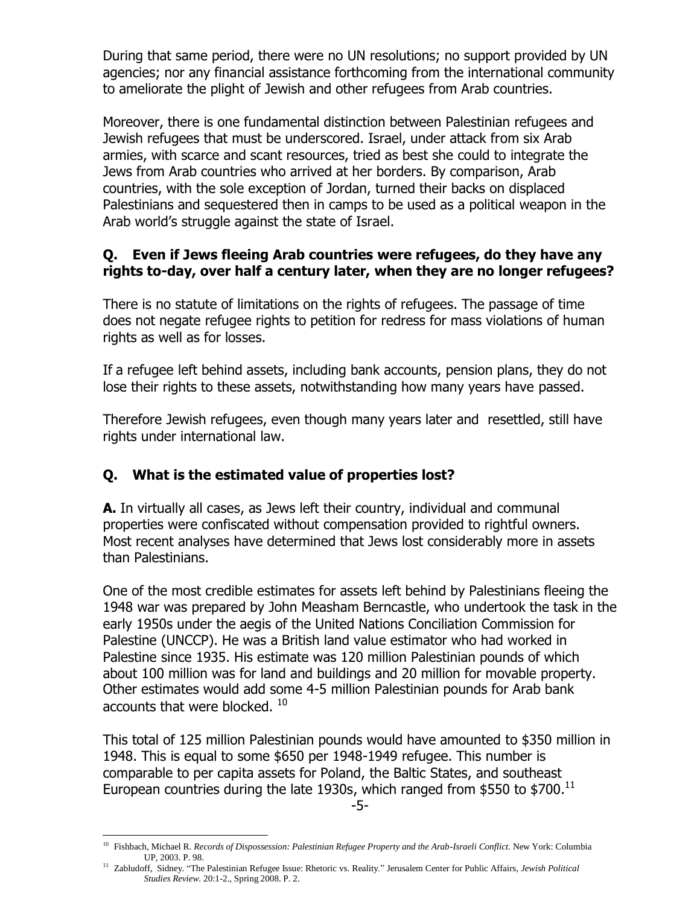During that same period, there were no UN resolutions; no support provided by UN agencies; nor any financial assistance forthcoming from the international community to ameliorate the plight of Jewish and other refugees from Arab countries.

Moreover, there is one fundamental distinction between Palestinian refugees and Jewish refugees that must be underscored. Israel, under attack from six Arab armies, with scarce and scant resources, tried as best she could to integrate the Jews from Arab countries who arrived at her borders. By comparison, Arab countries, with the sole exception of Jordan, turned their backs on displaced Palestinians and sequestered then in camps to be used as a political weapon in the Arab world's struggle against the state of Israel.

## **Q. Even if Jews fleeing Arab countries were refugees, do they have any rights to-day, over half a century later, when they are no longer refugees?**

There is no statute of limitations on the rights of refugees. The passage of time does not negate refugee rights to petition for redress for mass violations of human rights as well as for losses.

If a refugee left behind assets, including bank accounts, pension plans, they do not lose their rights to these assets, notwithstanding how many years have passed.

Therefore Jewish refugees, even though many years later and resettled, still have rights under international law.

# **Q. What is the estimated value of properties lost?**

**A.** In virtually all cases, as Jews left their country, individual and communal properties were confiscated without compensation provided to rightful owners. Most recent analyses have determined that Jews lost considerably more in assets than Palestinians.

One of the most credible estimates for assets left behind by Palestinians fleeing the 1948 war was prepared by John Measham Berncastle, who undertook the task in the early 1950s under the aegis of the United Nations Conciliation Commission for Palestine (UNCCP). He was a British land value estimator who had worked in Palestine since 1935. His estimate was 120 million Palestinian pounds of which about 100 million was for land and buildings and 20 million for movable property. Other estimates would add some 4-5 million Palestinian pounds for Arab bank accounts that were blocked.  $^{10}$ 

This total of 125 million Palestinian pounds would have amounted to \$350 million in 1948. This is equal to some \$650 per 1948-1949 refugee. This number is comparable to per capita assets for Poland, the Baltic States, and southeast European countries during the late 1930s, which ranged from \$550 to \$700. $^{11}$ 

<sup>10</sup>Fishbach, Michael R. *Records of Dispossession: Palestinian Refugee Property and the Arab-Israeli Conflict.* New York: Columbia UP, 2003. P. 98.

<sup>11</sup>Zabludoff, Sidney. "The Palestinian Refugee Issue: Rhetoric vs. Reality." Jerusalem Center for Public Affairs, *Jewish Political Studies Review.* 20:1-2., Spring 2008. P. 2.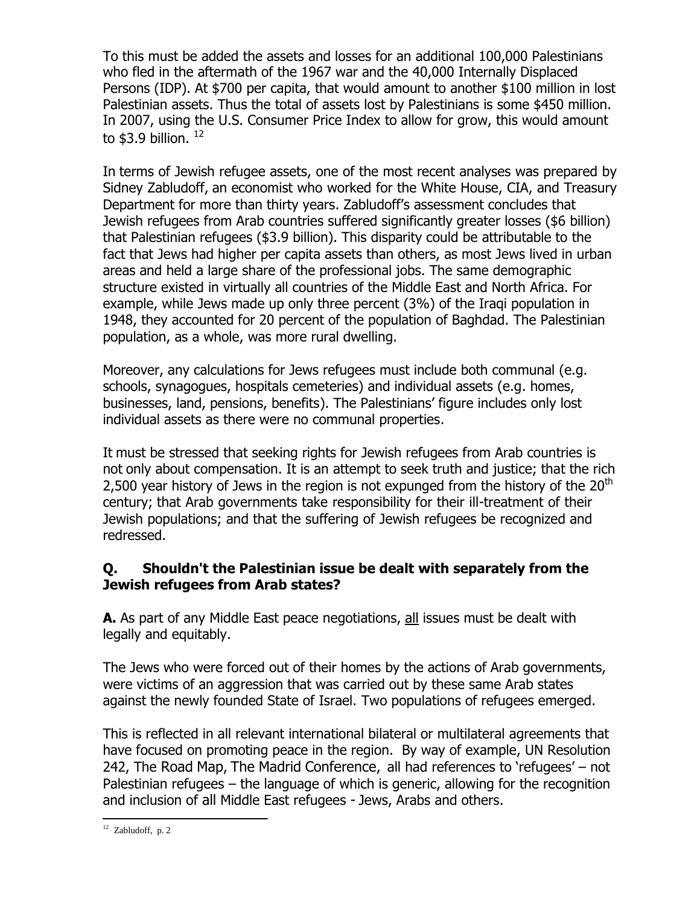To this must be added the assets and losses for an additional 100,000 Palestinians who fled in the aftermath of the 1967 war and the 40,000 Internally Displaced Persons (IDP). At \$700 per capita, that would amount to another \$100 million in lost Palestinian assets. Thus the total of assets lost by Palestinians is some \$450 million. In 2007, using the U.S. Consumer Price Index to allow for grow, this would amount to  $$3.9$  billion.  $^{12}$ 

In terms of Jewish refugee assets, one of the most recent analyses was prepared by Sidney Zabludoff, an economist who worked for the White House, CIA, and Treasury Department for more than thirty years. Zabludoff's assessment concludes that Jewish refugees from Arab countries suffered significantly greater losses (\$6 billion) that Palestinian refugees (\$3.9 billion). This disparity could be attributable to the fact that Jews had higher per capita assets than others, as most Jews lived in urban areas and held a large share of the professional jobs. The same demographic structure existed in virtually all countries of the Middle East and North Africa. For example, while Jews made up only three percent (3%) of the Iraqi population in 1948, they accounted for 20 percent of the population of Baghdad. The Palestinian population, as a whole, was more rural dwelling.

Moreover, any calculations for Jews refugees must include both communal (e.g. schools, synagogues, hospitals cemeteries) and individual assets (e.g. homes, businesses, land, pensions, benefits). The Palestinians' figure includes only lost individual assets as there were no communal properties.

It must be stressed that seeking rights for Jewish refugees from Arab countries is not only about compensation. It is an attempt to seek truth and justice; that the rich 2,500 year history of Jews in the region is not expunged from the history of the 20<sup>th</sup> century; that Arab governments take responsibility for their ill-treatment of their Jewish populations; and that the suffering of Jewish refugees be recognized and redressed.

## **Q. Shouldn't the Palestinian issue be dealt with separately from the Jewish refugees from Arab states?**

**A.** As part of any Middle East peace negotiations, all issues must be dealt with legally and equitably.

The Jews who were forced out of their homes by the actions of Arab governments, were victims of an aggression that was carried out by these same Arab states against the newly founded State of Israel. Two populations of refugees emerged.

This is reflected in all relevant international bilateral or multilateral agreements that have focused on promoting peace in the region. By way of example, UN Resolution 242, The Road Map, The Madrid Conference, all had references to 'refugees' – not Palestinian refugees – the language of which is generic, allowing for the recognition and inclusion of all Middle East refugees - Jews, Arabs and others.

 $12$  Zabludoff, p. 2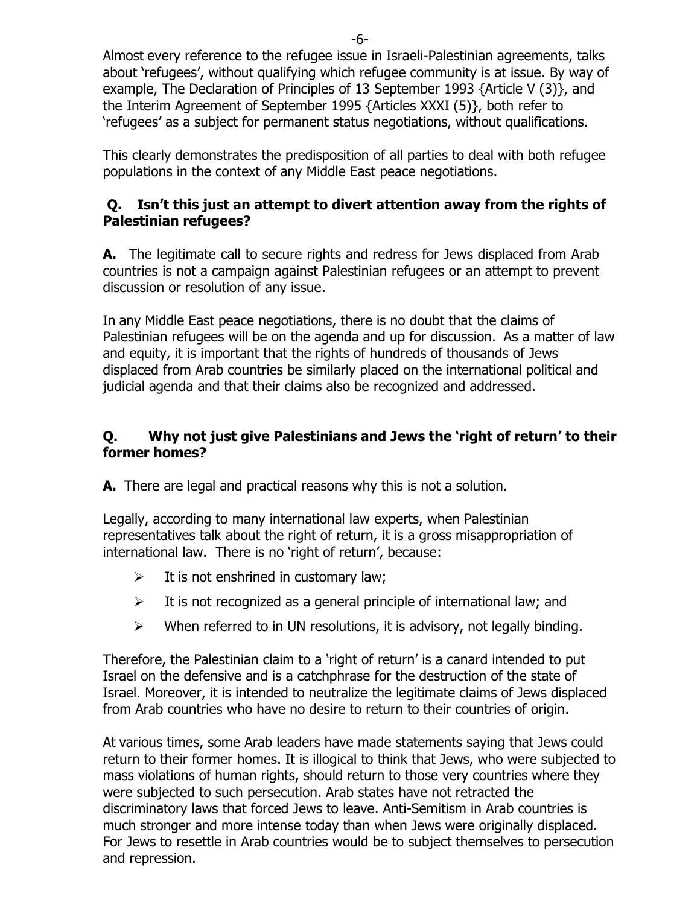Almost every reference to the refugee issue in Israeli-Palestinian agreements, talks about 'refugees', without qualifying which refugee community is at issue. By way of example, The Declaration of Principles of 13 September 1993 {Article V (3)}, and the Interim Agreement of September 1995 {Articles XXXI (5)}, both refer to 'refugees' as a subject for permanent status negotiations, without qualifications.

This clearly demonstrates the predisposition of all parties to deal with both refugee populations in the context of any Middle East peace negotiations.

## **Q. Isn't this just an attempt to divert attention away from the rights of Palestinian refugees?**

**A.** The legitimate call to secure rights and redress for Jews displaced from Arab countries is not a campaign against Palestinian refugees or an attempt to prevent discussion or resolution of any issue.

In any Middle East peace negotiations, there is no doubt that the claims of Palestinian refugees will be on the agenda and up for discussion. As a matter of law and equity, it is important that the rights of hundreds of thousands of Jews displaced from Arab countries be similarly placed on the international political and judicial agenda and that their claims also be recognized and addressed.

## **Q. Why not just give Palestinians and Jews the 'right of return' to their former homes?**

**A.** There are legal and practical reasons why this is not a solution.

Legally, according to many international law experts, when Palestinian representatives talk about the right of return, it is a gross misappropriation of international law. There is no 'right of return', because:

- $\triangleright$  It is not enshrined in customary law;
- $\triangleright$  It is not recognized as a general principle of international law; and
- $\triangleright$  When referred to in UN resolutions, it is advisory, not legally binding.

Therefore, the Palestinian claim to a 'right of return' is a canard intended to put Israel on the defensive and is a catchphrase for the destruction of the state of Israel. Moreover, it is intended to neutralize the legitimate claims of Jews displaced from Arab countries who have no desire to return to their countries of origin.

At various times, some Arab leaders have made statements saying that Jews could return to their former homes. It is illogical to think that Jews, who were subjected to mass violations of human rights, should return to those very countries where they were subjected to such persecution. Arab states have not retracted the discriminatory laws that forced Jews to leave. Anti-Semitism in Arab countries is much stronger and more intense today than when Jews were originally displaced. For Jews to resettle in Arab countries would be to subject themselves to persecution and repression.